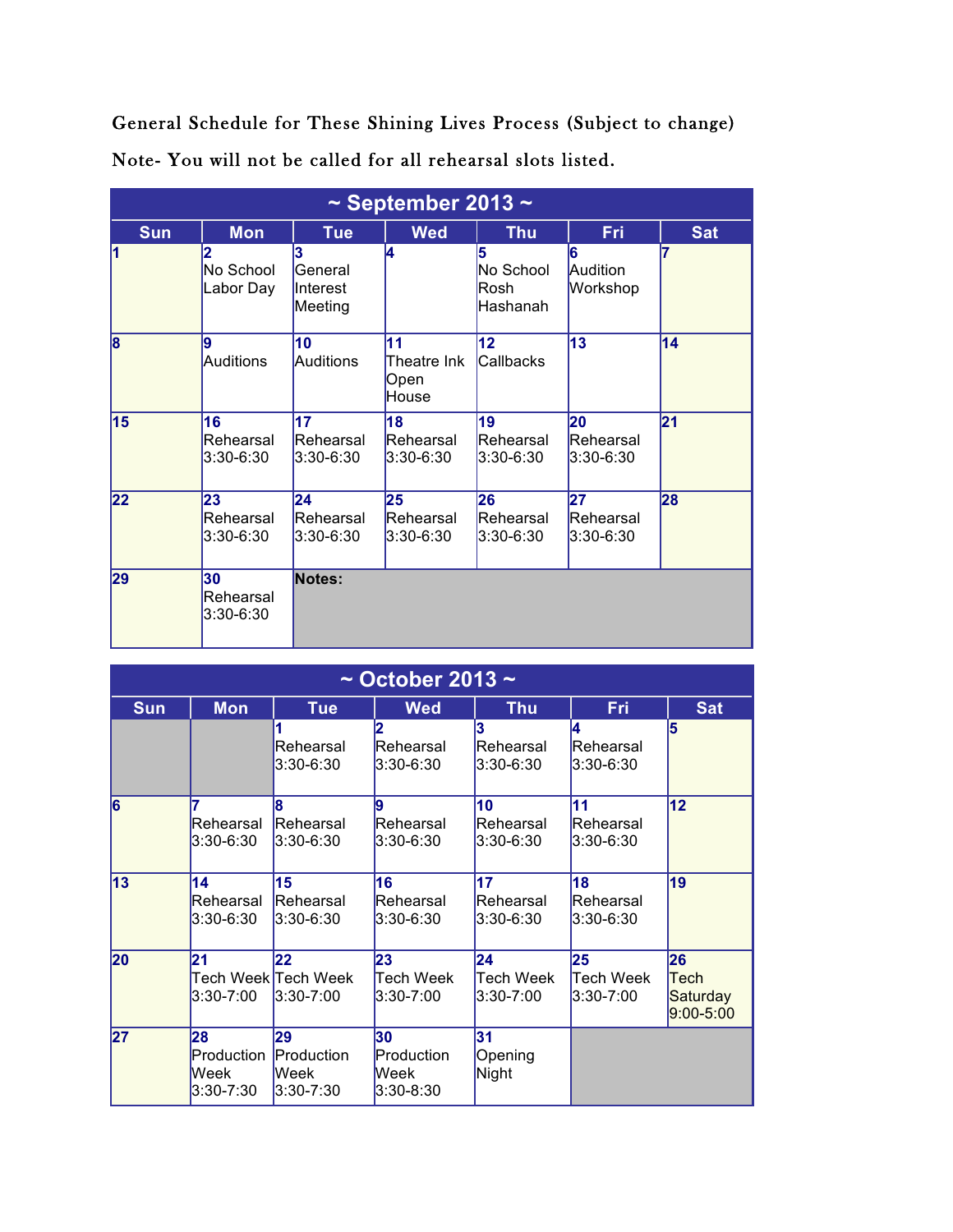General Schedule for These Shining Lives Process (Subject to change) Note- You will not be called for all rehearsal slots listed.

| $\sim$ September 2013 $\sim$ |                              |                                            |                                    |                                           |                                  |            |  |
|------------------------------|------------------------------|--------------------------------------------|------------------------------------|-------------------------------------------|----------------------------------|------------|--|
| <b>Sun</b>                   | <b>Mon</b>                   | <b>Tue</b>                                 | <b>Wed</b>                         | <b>Thu</b>                                | Fri                              | <b>Sat</b> |  |
| 1                            | 2<br>No School<br>Labor Day  | 3<br>General<br><b>Interest</b><br>Meeting | l4                                 | 5<br>No School<br><b>Rosh</b><br>Hashanah | 6<br>Audition<br>Workshop        |            |  |
| $\overline{\mathbf{8}}$      | 9<br><b>Auditions</b>        | 10<br><b>Auditions</b>                     | 11<br>Theatre Ink<br>Open<br>House | 12<br>Callbacks                           | 13                               | 14         |  |
| 15                           | 16<br>Rehearsal<br>3:30-6:30 | 17<br>Rehearsal<br>$3:30 - 6:30$           | 18<br>Rehearsal<br>$3:30 - 6:30$   | 19<br>Rehearsal<br>$3:30 - 6:30$          | 20<br>Rehearsal<br>3:30-6:30     | 21         |  |
| 22                           | 23<br>Rehearsal<br>3:30-6:30 | 24<br>Rehearsal<br>3:30-6:30               | 25<br>Rehearsal<br>3:30-6:30       | 26<br>Rehearsal<br>$3:30-6:30$            | 27<br>Rehearsal<br>$3:30 - 6:30$ | 28         |  |
| 29                           | 30<br>Rehearsal<br>3:30-6:30 | Notes:                                     |                                    |                                           |                                  |            |  |

| $\sim$ October 2013 $\sim$ |                                       |                                                         |                                           |                              |                                  |                                         |  |  |
|----------------------------|---------------------------------------|---------------------------------------------------------|-------------------------------------------|------------------------------|----------------------------------|-----------------------------------------|--|--|
| <b>Sun</b>                 | <b>Mon</b>                            | <b>Tue</b>                                              | <b>Wed</b>                                | <b>Thu</b>                   | Fri                              | <b>Sat</b>                              |  |  |
|                            |                                       | Rehearsal<br>3:30-6:30                                  | Rehearsal<br>$3:30 - 6:30$                | 3<br>Rehearsal<br>3:30-6:30  | 14.<br>Rehearsal<br>$3:30-6:30$  | 5                                       |  |  |
| 6                          | 7<br>Rehearsal<br>3:30-6:30           | l8<br>Rehearsal<br>$3:30-6:30$                          | 9<br>Rehearsal<br>$3:30 - 6:30$           | 10<br>Rehearsal<br>3:30-6:30 | 11<br>Rehearsal<br>$3:30-6:30$   | 12                                      |  |  |
| 13                         | 14<br>Rehearsal<br>3:30-6:30          | 15<br>Rehearsal<br>$3:30-6:30$                          | 16<br>Rehearsal<br>$3:30 - 6:30$          | 17<br>Rehearsal<br>3:30-6:30 | 18<br>Rehearsal<br>$3:30 - 6:30$ | 19                                      |  |  |
| 20                         | 21<br>3:30-7:00                       | 22<br>Tech Week <mark>Tech Week</mark><br>$3:30 - 7:00$ | 23<br>Tech Week<br>$3:30 - 7:00$          | 24<br>Tech Week<br>3:30-7:00 | 25<br>Tech Week<br>$3:30 - 7:00$ | 26<br>Tech<br>Saturday<br>$9:00 - 5:00$ |  |  |
| 27                         | 28<br>Production<br>Week<br>3:30-7:30 | 29<br>Production<br><b>Week</b><br>$3:30 - 7:30$        | 30<br>Production<br>Week<br>$3:30 - 8:30$ | 31<br>Opening<br>Night       |                                  |                                         |  |  |